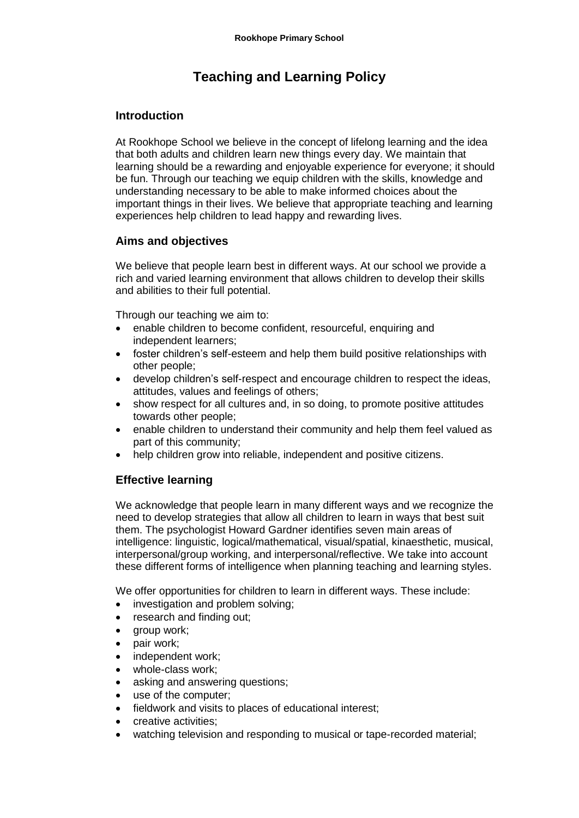# **Teaching and Learning Policy**

### **Introduction**

At Rookhope School we believe in the concept of lifelong learning and the idea that both adults and children learn new things every day. We maintain that learning should be a rewarding and enjoyable experience for everyone; it should be fun. Through our teaching we equip children with the skills, knowledge and understanding necessary to be able to make informed choices about the important things in their lives. We believe that appropriate teaching and learning experiences help children to lead happy and rewarding lives.

## **Aims and objectives**

We believe that people learn best in different ways. At our school we provide a rich and varied learning environment that allows children to develop their skills and abilities to their full potential.

Through our teaching we aim to:

- enable children to become confident, resourceful, enquiring and independent learners;
- foster children's self-esteem and help them build positive relationships with other people;
- develop children's self-respect and encourage children to respect the ideas, attitudes, values and feelings of others;
- show respect for all cultures and, in so doing, to promote positive attitudes towards other people;
- enable children to understand their community and help them feel valued as part of this community;
- help children grow into reliable, independent and positive citizens.

## **Effective learning**

We acknowledge that people learn in many different ways and we recognize the need to develop strategies that allow all children to learn in ways that best suit them. The psychologist Howard Gardner identifies seven main areas of intelligence: linguistic, logical/mathematical, visual/spatial, kinaesthetic, musical, interpersonal/group working, and interpersonal/reflective. We take into account these different forms of intelligence when planning teaching and learning styles.

We offer opportunities for children to learn in different ways. These include:

- investigation and problem solving;
- research and finding out;
- group work;
- pair work;
- independent work;
- whole-class work;
- asking and answering questions;
- use of the computer;
- fieldwork and visits to places of educational interest;
- creative activities;
- watching television and responding to musical or tape-recorded material;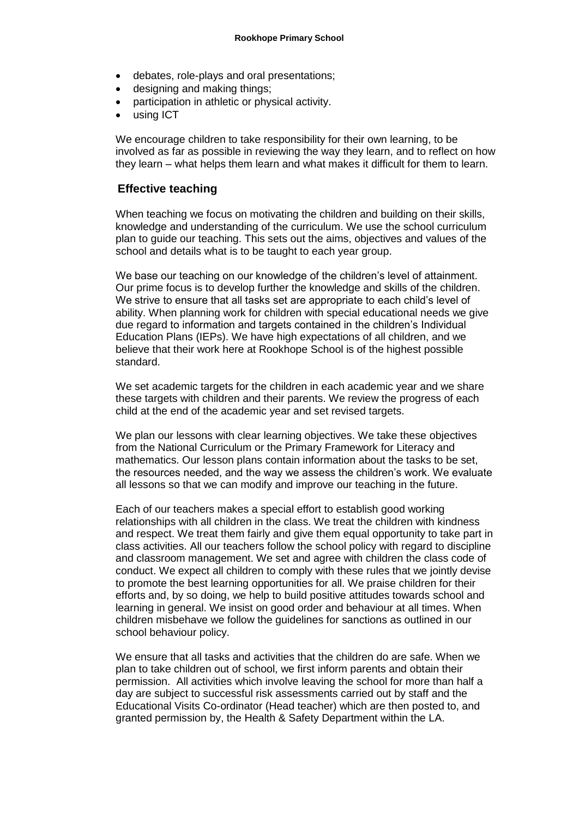- debates, role-plays and oral presentations;
- designing and making things;
- participation in athletic or physical activity.
- using ICT

We encourage children to take responsibility for their own learning, to be involved as far as possible in reviewing the way they learn, and to reflect on how they learn – what helps them learn and what makes it difficult for them to learn.

#### **Effective teaching**

When teaching we focus on motivating the children and building on their skills, knowledge and understanding of the curriculum. We use the school curriculum plan to guide our teaching. This sets out the aims, objectives and values of the school and details what is to be taught to each year group.

We base our teaching on our knowledge of the children's level of attainment. Our prime focus is to develop further the knowledge and skills of the children. We strive to ensure that all tasks set are appropriate to each child's level of ability. When planning work for children with special educational needs we give due regard to information and targets contained in the children's Individual Education Plans (IEPs). We have high expectations of all children, and we believe that their work here at Rookhope School is of the highest possible standard.

We set academic targets for the children in each academic year and we share these targets with children and their parents. We review the progress of each child at the end of the academic year and set revised targets.

We plan our lessons with clear learning objectives. We take these objectives from the National Curriculum or the Primary Framework for Literacy and mathematics. Our lesson plans contain information about the tasks to be set, the resources needed, and the way we assess the children's work. We evaluate all lessons so that we can modify and improve our teaching in the future.

Each of our teachers makes a special effort to establish good working relationships with all children in the class. We treat the children with kindness and respect. We treat them fairly and give them equal opportunity to take part in class activities. All our teachers follow the school policy with regard to discipline and classroom management. We set and agree with children the class code of conduct. We expect all children to comply with these rules that we jointly devise to promote the best learning opportunities for all. We praise children for their efforts and, by so doing, we help to build positive attitudes towards school and learning in general. We insist on good order and behaviour at all times. When children misbehave we follow the guidelines for sanctions as outlined in our school behaviour policy.

We ensure that all tasks and activities that the children do are safe. When we plan to take children out of school, we first inform parents and obtain their permission. All activities which involve leaving the school for more than half a day are subject to successful risk assessments carried out by staff and the Educational Visits Co-ordinator (Head teacher) which are then posted to, and granted permission by, the Health & Safety Department within the LA.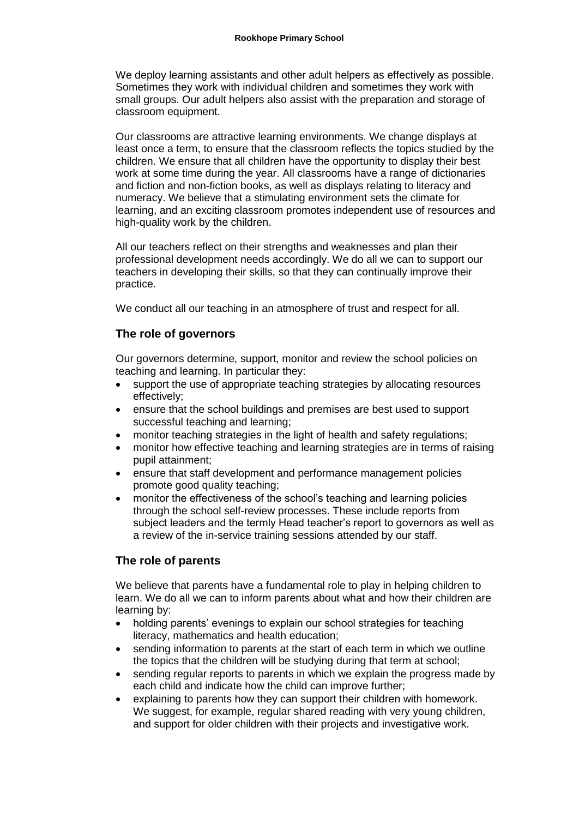We deploy learning assistants and other adult helpers as effectively as possible. Sometimes they work with individual children and sometimes they work with small groups. Our adult helpers also assist with the preparation and storage of classroom equipment.

Our classrooms are attractive learning environments. We change displays at least once a term, to ensure that the classroom reflects the topics studied by the children. We ensure that all children have the opportunity to display their best work at some time during the year. All classrooms have a range of dictionaries and fiction and non-fiction books, as well as displays relating to literacy and numeracy. We believe that a stimulating environment sets the climate for learning, and an exciting classroom promotes independent use of resources and high-quality work by the children.

All our teachers reflect on their strengths and weaknesses and plan their professional development needs accordingly. We do all we can to support our teachers in developing their skills, so that they can continually improve their practice.

We conduct all our teaching in an atmosphere of trust and respect for all.

## **The role of governors**

Our governors determine, support, monitor and review the school policies on teaching and learning. In particular they:

- support the use of appropriate teaching strategies by allocating resources effectively;
- ensure that the school buildings and premises are best used to support successful teaching and learning;
- monitor teaching strategies in the light of health and safety regulations;
- monitor how effective teaching and learning strategies are in terms of raising pupil attainment;
- ensure that staff development and performance management policies promote good quality teaching;
- monitor the effectiveness of the school's teaching and learning policies through the school self-review processes. These include reports from subject leaders and the termly Head teacher's report to governors as well as a review of the in-service training sessions attended by our staff.

## **The role of parents**

We believe that parents have a fundamental role to play in helping children to learn. We do all we can to inform parents about what and how their children are learning by:

- holding parents' evenings to explain our school strategies for teaching literacy, mathematics and health education;
- sending information to parents at the start of each term in which we outline the topics that the children will be studying during that term at school;
- sending regular reports to parents in which we explain the progress made by each child and indicate how the child can improve further;
- explaining to parents how they can support their children with homework. We suggest, for example, regular shared reading with very young children, and support for older children with their projects and investigative work.